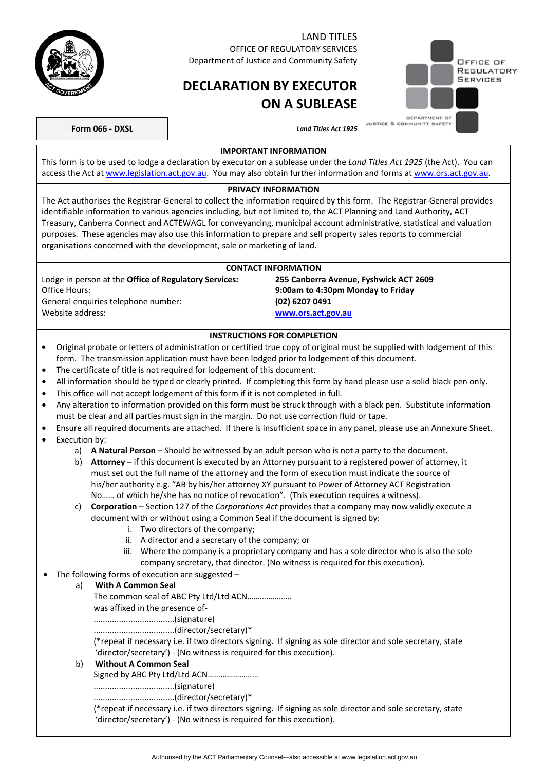

#### LAND TITLES OFFICE OF REGULATORY SERVICES

Department of Justice and Community Safety

# **DECLARATION BY EXECUTOR ON A SUBLEASE**

|  | OFFICE OF<br>REGULATORY<br><b>SERVICES</b> |
|--|--------------------------------------------|
|  |                                            |
|  |                                            |

JUSTICE & COMMUNITY SAFETY **Form 066 - DXSL** *Land Titles Act 1925* 

# **IMPORTANT INFORMATION**

This form is to be used to lodge a declaration by executor on a sublease under the *Land Titles Act 1925* (the Act). You can access the Act at [www.legislation.act.gov.au.](http://www.legislation.act.gov.au/) You may also obtain further information and forms at [www.ors.act.gov.au.](http://www.ors.act.gov.au/)

#### **PRIVACY INFORMATION**

The Act authorises the Registrar-General to collect the information required by this form. The Registrar-General provides identifiable information to various agencies including, but not limited to, the ACT Planning and Land Authority, ACT Treasury, Canberra Connect and ACTEWAGL for conveyancing, municipal account administrative, statistical and valuation purposes. These agencies may also use this information to prepare and sell property sales reports to commercial organisations concerned with the development, sale or marketing of land.

#### **CONTACT INFORMATION**  Lodge in person at the **Office of Regulatory Services: 255 Canberra Avenue, Fyshwick ACT 2609**  Office Hours: **9:00am to 4:30pm Monday to Friday**  General enquiries telephone number: **(02) 6207 0491**  Website address: **[www.ors.act.gov.au](http://www.ors.act.gov.au/)**

### **INSTRUCTIONS FOR COMPLETION**

- Original probate or letters of administration or certified true copy of original must be supplied with lodgement of this form. The transmission application must have been lodged prior to lodgement of this document.
- The certificate of title is not required for lodgement of this document.
- All information should be typed or clearly printed. If completing this form by hand please use a solid black pen only.
- This office will not accept lodgement of this form if it is not completed in full.
- Any alteration to information provided on this form must be struck through with a black pen. Substitute information must be clear and all parties must sign in the margin. Do not use correction fluid or tape.
- Ensure all required documents are attached. If there is insufficient space in any panel, please use an Annexure Sheet. • Execution by:
	- a) **A Natural Person** Should be witnessed by an adult person who is not a party to the document.
	- b) **Attorney** if this document is executed by an Attorney pursuant to a registered power of attorney, it must set out the full name of the attorney and the form of execution must indicate the source of his/her authority e.g. "AB by his/her attorney XY pursuant to Power of Attorney ACT Registration No…… of which he/she has no notice of revocation". (This execution requires a witness).
	- c) **Corporation** Section 127 of the *Corporations Act* provides that a company may now validly execute a document with or without using a Common Seal if the document is signed by:
		- i. Two directors of the company;
		- ii. A director and a secretary of the company; or
		- iii. Where the company is a proprietary company and has a sole director who is also the sole company secretary, that director. (No witness is required for this execution).
	- The following forms of execution are suggested –

#### a) **With A Common Seal**

The common seal of ABC Pty Ltd/Ltd ACN…………………

was affixed in the presence of-

...................................(signature)

...................................(director/secretary)\*

(\*repeat if necessary i.e. if two directors signing. If signing as sole director and sole secretary, state 'director/secretary') - (No witness is required for this execution).

## b) **Without A Common Seal**

Signed by ABC Pty Ltd/Ltd ACN……………………

...................................(signature)

...................................(director/secretary)\*

(\*repeat if necessary i.e. if two directors signing. If signing as sole director and sole secretary, state 'director/secretary') - (No witness is required for this execution).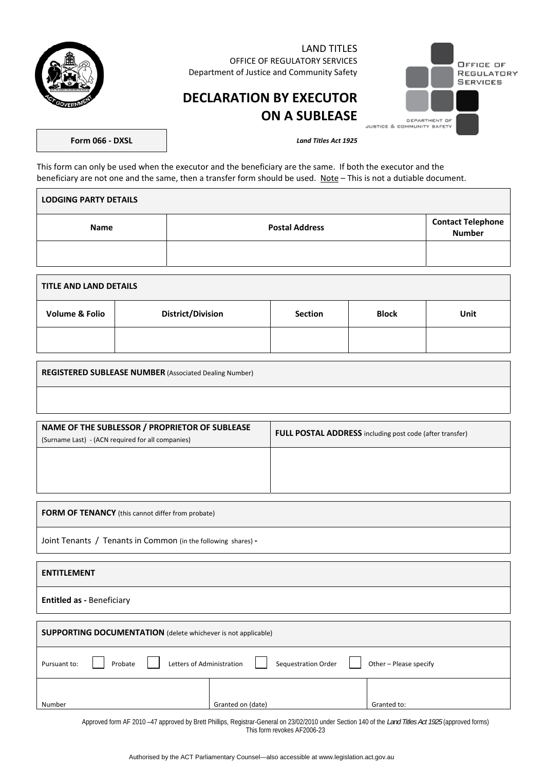

LAND TITLES OFFICE OF REGULATORY SERVICES Department of Justice and Community Safety

# OFFICE OF REGULATORY **SERVICES** DEPARTMENT OF<br>JUSTICE & COMMUNITY SAFETY

# **DECLARATION BY EXECUTOR ON A SUBLEASE**

**Form 066 - DXSL** *Land Titles Act 1925* 

This form can only be used when the executor and the beneficiary are the same. If both the executor and the beneficiary are not one and the same, then a transfer form should be used. Note - This is not a dutiable document.

| <b>LODGING PARTY DETAILS</b> |                       |                                           |  |  |
|------------------------------|-----------------------|-------------------------------------------|--|--|
| Name                         | <b>Postal Address</b> | <b>Contact Telephone</b><br><b>Number</b> |  |  |
|                              |                       |                                           |  |  |

| <b>TITLE AND LAND DETAILS</b> |                          |                |              |      |  |
|-------------------------------|--------------------------|----------------|--------------|------|--|
| <b>Volume &amp; Folio</b>     | <b>District/Division</b> | <b>Section</b> | <b>Block</b> | Unit |  |
|                               |                          |                |              |      |  |

| <b>REGISTERED SUBLEASE NUMBER (Associated Dealing Number)</b> |  |
|---------------------------------------------------------------|--|
|                                                               |  |

| NAME OF THE SUBLESSOR / PROPRIETOR OF SUBLEASE<br>(Surname Last) - (ACN required for all companies) | <b>FULL POSTAL ADDRESS</b> including post code (after transfer) |  |
|-----------------------------------------------------------------------------------------------------|-----------------------------------------------------------------|--|
|                                                                                                     |                                                                 |  |
|                                                                                                     |                                                                 |  |
|                                                                                                     |                                                                 |  |

**FORM OF TENANCY** (this cannot differ from probate)

Joint Tenants / Tenants in Common (in the following shares) **-** 

| <b>ENTITLEMENT</b>                                                                                    |                   |             |  |  |  |
|-------------------------------------------------------------------------------------------------------|-------------------|-------------|--|--|--|
| <b>Entitled as - Beneficiary</b>                                                                      |                   |             |  |  |  |
|                                                                                                       |                   |             |  |  |  |
| <b>SUPPORTING DOCUMENTATION</b> (delete whichever is not applicable)                                  |                   |             |  |  |  |
| Other - Please specify<br>Sequestration Order<br>Letters of Administration<br>Pursuant to:<br>Probate |                   |             |  |  |  |
|                                                                                                       |                   |             |  |  |  |
| Number                                                                                                | Granted on (date) | Granted to: |  |  |  |

Approved form AF 2010 –47 approved by Brett Phillips, Registrar-General on 23/02/2010 under Section 140 of the *Land Titles Act 1925* (approved forms) This form revokes AF2006-23